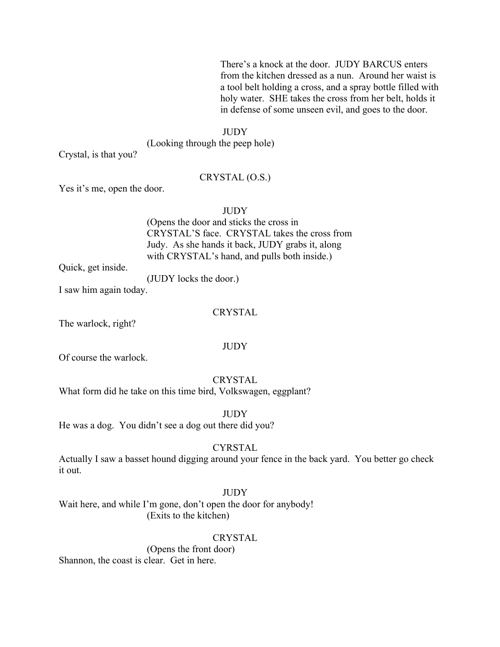There's a knock at the door. JUDY BARCUS enters from the kitchen dressed as a nun. Around her waist is a tool belt holding a cross, and a spray bottle filled with holy water. SHE takes the cross from her belt, holds it in defense of some unseen evil, and goes to the door.

#### **JUDY**

(Looking through the peep hole)

Crystal, is that you?

#### CRYSTAL (O.S.)

Yes it's me, open the door.

**JUDY** 

(Opens the door and sticks the cross in CRYSTAL'S face. CRYSTAL takes the cross from Judy. As she hands it back, JUDY grabs it, along with CRYSTAL's hand, and pulls both inside.)

Quick, get inside.

(JUDY locks the door.)

I saw him again today.

# **CRYSTAL**

The warlock, right?

### JUDY

Of course the warlock.

CRYSTAL What form did he take on this time bird, Volkswagen, eggplant?

**JUDY** He was a dog. You didn't see a dog out there did you?

#### **CYRSTAL**

Actually I saw a basset hound digging around your fence in the back yard. You better go check it out.

# JUDY

Wait here, and while I'm gone, don't open the door for anybody! (Exits to the kitchen)

#### CRYSTAL

(Opens the front door) Shannon, the coast is clear. Get in here.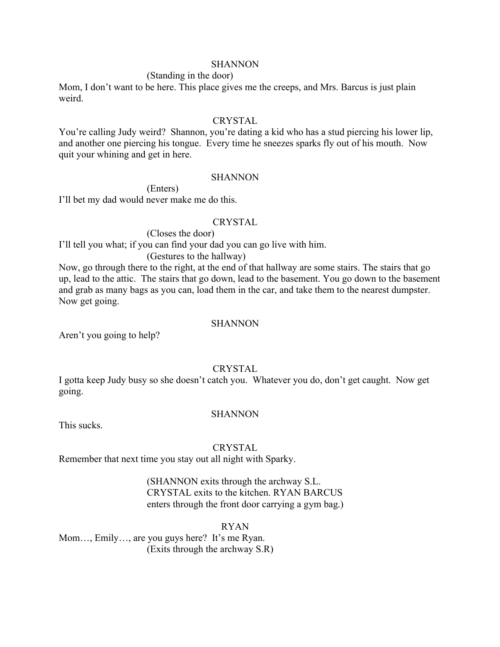#### **SHANNON**

#### (Standing in the door)

Mom, I don't want to be here. This place gives me the creeps, and Mrs. Barcus is just plain weird.

#### CRYSTAL

You're calling Judy weird? Shannon, you're dating a kid who has a stud piercing his lower lip, and another one piercing his tongue. Every time he sneezes sparks fly out of his mouth. Now quit your whining and get in here.

#### **SHANNON**

(Enters) I'll bet my dad would never make me do this.

#### CRYSTAL

(Closes the door)

I'll tell you what; if you can find your dad you can go live with him.

(Gestures to the hallway)

Now, go through there to the right, at the end of that hallway are some stairs. The stairs that go up, lead to the attic. The stairs that go down, lead to the basement. You go down to the basement and grab as many bags as you can, load them in the car, and take them to the nearest dumpster. Now get going.

#### **SHANNON**

Aren't you going to help?

# **CRYSTAL**

I gotta keep Judy busy so she doesn't catch you. Whatever you do, don't get caught. Now get going.

#### **SHANNON**

This sucks.

#### **CRYSTAL**

Remember that next time you stay out all night with Sparky.

(SHANNON exits through the archway S.L. CRYSTAL exits to the kitchen. RYAN BARCUS enters through the front door carrying a gym bag.)

# RYAN

Mom…, Emily…, are you guys here? It's me Ryan. (Exits through the archway S.R)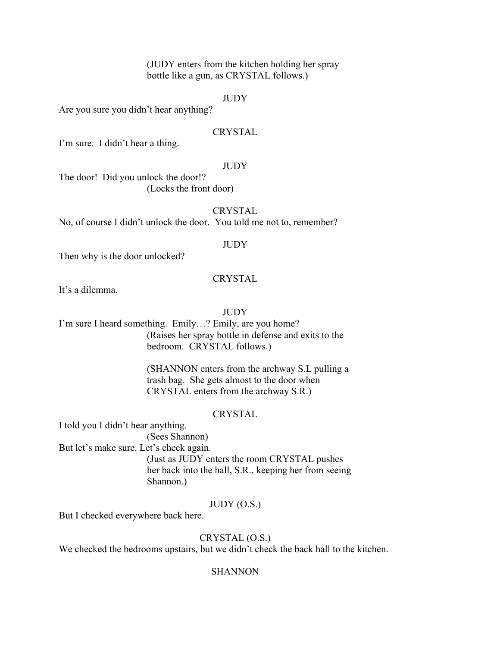(JUDY enters from the kitchen holding her spray bottle like a gun, as CRYSTAL follows.)

# JUDY

Are you sure you didn't hear anything?

# CRYSTAL

I'm sure. I didn't hear a thing.

# **JUDY**

The door! Did you unlock the door!? (Locks the front door)

# **CRYSTAL**

No, of course I didn't unlock the door. You told me not to, remember?

# **JUDY**

Then why is the door unlocked?

# **CRYSTAL**

It's a dilemma.

# **JUDY**

I'm sure I heard something. Emily…? Emily, are you home? (Raises her spray bottle in defense and exits to the bedroom. CRYSTAL follows.)

> (SHANNON enters from the archway S.L pulling a trash bag. She gets almost to the door when CRYSTAL enters from the archway S.R.)

# **CRYSTAL**

I told you I didn't hear anything. (Sees Shannon)

But let's make sure. Let's check again.

(Just as JUDY enters the room CRYSTAL pushes her back into the hall, S.R., keeping her from seeing Shannon.)

# JUDY (O.S.)

But I checked everywhere back here.

# CRYSTAL (O.S.)

We checked the bedrooms upstairs, but we didn't check the back hall to the kitchen.

# **SHANNON**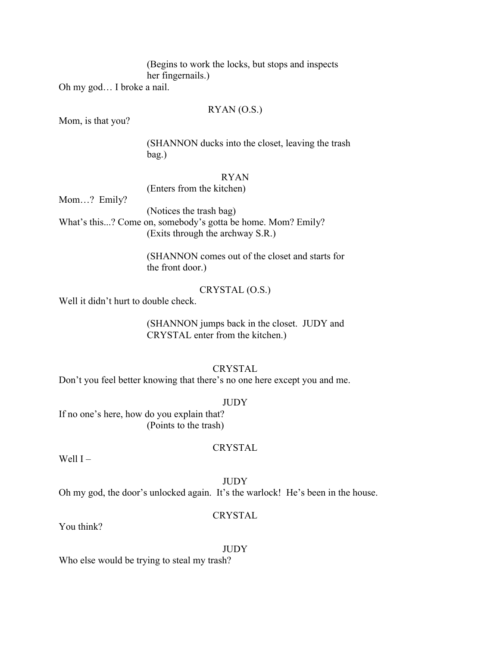(Begins to work the locks, but stops and inspects her fingernails.)

Oh my god… I broke a nail.

# RYAN (O.S.)

Mom, is that you?

(SHANNON ducks into the closet, leaving the trash bag.)

# RYAN

(Enters from the kitchen)

Mom…? Emily?

(Notices the trash bag) What's this...? Come on, somebody's gotta be home. Mom? Emily? (Exits through the archway S.R.)

> (SHANNON comes out of the closet and starts for the front door.)

> > CRYSTAL (O.S.)

Well it didn't hurt to double check.

(SHANNON jumps back in the closet. JUDY and CRYSTAL enter from the kitchen.)

# **CRYSTAL**

Don't you feel better knowing that there's no one here except you and me.

# **JUDY**

If no one's here, how do you explain that? (Points to the trash)

**CRYSTAL** 

Well  $I -$ 

# **JUDY**

Oh my god, the door's unlocked again. It's the warlock! He's been in the house.

# CRYSTAL

You think?

JUDY

Who else would be trying to steal my trash?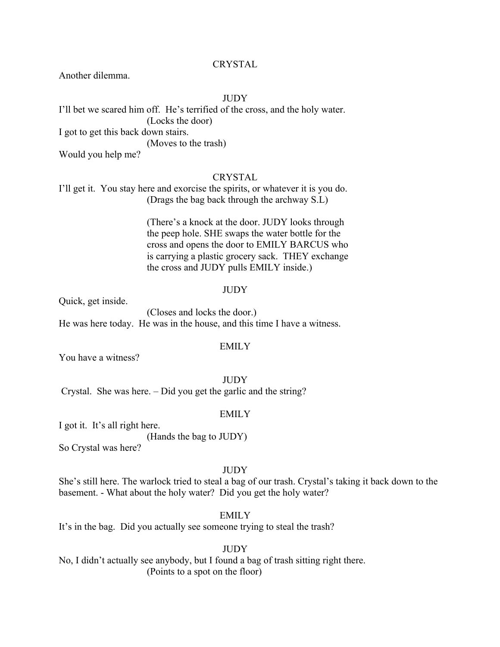# CRYSTAL

Another dilemma.

### **JUDY**

I'll bet we scared him off. He's terrified of the cross, and the holy water. (Locks the door) I got to get this back down stairs. (Moves to the trash) Would you help me?

# CRYSTAL

I'll get it. You stay here and exorcise the spirits, or whatever it is you do. (Drags the bag back through the archway S.L)

> (There's a knock at the door. JUDY looks through the peep hole. SHE swaps the water bottle for the cross and opens the door to EMILY BARCUS who is carrying a plastic grocery sack. THEY exchange the cross and JUDY pulls EMILY inside.)

#### **JUDY**

Quick, get inside.

(Closes and locks the door.) He was here today. He was in the house, and this time I have a witness.

### **EMILY**

You have a witness?

JUDY

Crystal. She was here. – Did you get the garlic and the string?

#### EMILY

I got it. It's all right here.

(Hands the bag to JUDY)

So Crystal was here?

#### **JUDY**

She's still here. The warlock tried to steal a bag of our trash. Crystal's taking it back down to the basement. - What about the holy water? Did you get the holy water?

#### **EMILY**

It's in the bag. Did you actually see someone trying to steal the trash?

#### JUDY

No, I didn't actually see anybody, but I found a bag of trash sitting right there. (Points to a spot on the floor)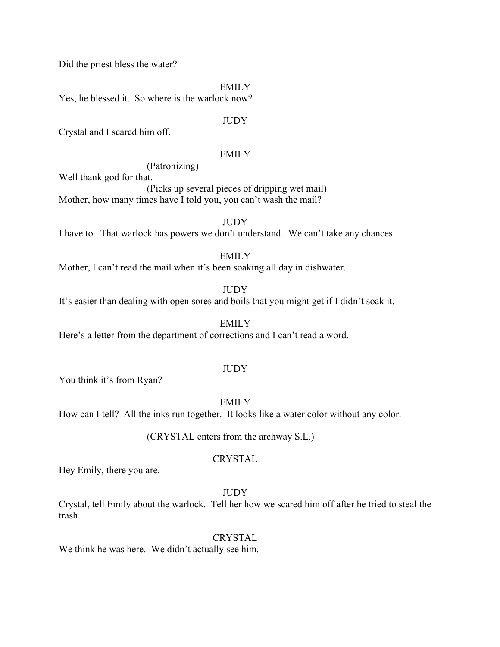Did the priest bless the water?

EMILY

Yes, he blessed it. So where is the warlock now?

### **JUDY**

Crystal and I scared him off.

#### EMILY

(Patronizing)

Well thank god for that.

(Picks up several pieces of dripping wet mail) Mother, how many times have I told you, you can't wash the mail?

**JUDY** 

I have to. That warlock has powers we don't understand. We can't take any chances.

# **EMILY**

Mother, I can't read the mail when it's been soaking all day in dishwater.

# **JUDY**

It's easier than dealing with open sores and boils that you might get if I didn't soak it.

EMILY

Here's a letter from the department of corrections and I can't read a word.

#### **JUDY**

You think it's from Ryan?

**EMILY** 

How can I tell? All the inks run together. It looks like a water color without any color.

(CRYSTAL enters from the archway S.L.)

### CRYSTAL

Hey Emily, there you are.

# JUDY

Crystal, tell Emily about the warlock. Tell her how we scared him off after he tried to steal the trash.

# CRYSTAL

We think he was here. We didn't actually see him.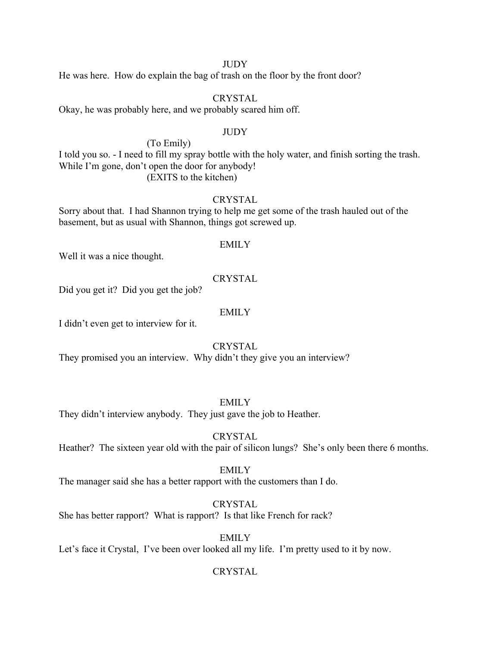#### **JUDY**

He was here. How do explain the bag of trash on the floor by the front door?

#### CRYSTAL

Okay, he was probably here, and we probably scared him off.

#### **JUDY**

(To Emily)

I told you so. - I need to fill my spray bottle with the holy water, and finish sorting the trash. While I'm gone, don't open the door for anybody! (EXITS to the kitchen)

# **CRYSTAL**

Sorry about that. I had Shannon trying to help me get some of the trash hauled out of the basement, but as usual with Shannon, things got screwed up.

#### EMILY

Well it was a nice thought.

# **CRYSTAL**

Did you get it? Did you get the job?

#### EMILY

I didn't even get to interview for it.

### CRYSTAL

They promised you an interview. Why didn't they give you an interview?

#### **EMILY**

They didn't interview anybody. They just gave the job to Heather.

# **CRYSTAL**

Heather? The sixteen year old with the pair of silicon lungs? She's only been there 6 months.

#### EMILY

The manager said she has a better rapport with the customers than I do.

# **CRYSTAL**

She has better rapport? What is rapport? Is that like French for rack?

#### EMILY

Let's face it Crystal, I've been over looked all my life. I'm pretty used to it by now.

# **CRYSTAL**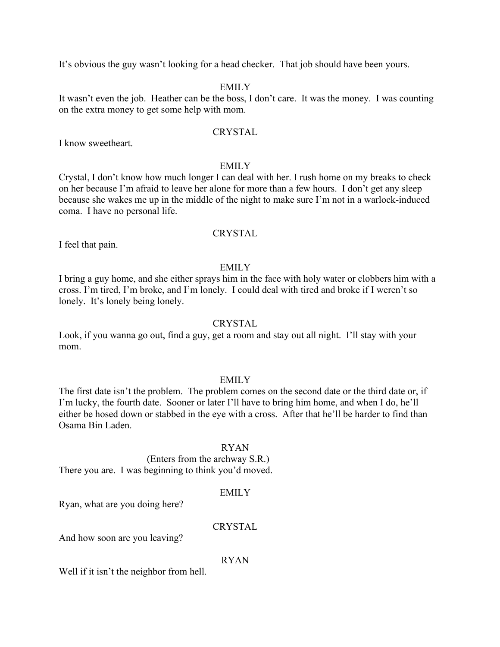It's obvious the guy wasn't looking for a head checker. That job should have been yours.

# EMILY

It wasn't even the job. Heather can be the boss, I don't care. It was the money. I was counting on the extra money to get some help with mom.

#### CRYSTAL

I know sweetheart.

#### EMILY

Crystal, I don't know how much longer I can deal with her. I rush home on my breaks to check on her because I'm afraid to leave her alone for more than a few hours. I don't get any sleep because she wakes me up in the middle of the night to make sure I'm not in a warlock-induced coma. I have no personal life.

#### CRYSTAL

I feel that pain.

#### **EMILY**

I bring a guy home, and she either sprays him in the face with holy water or clobbers him with a cross. I'm tired, I'm broke, and I'm lonely. I could deal with tired and broke if I weren't so lonely. It's lonely being lonely.

#### CRYSTAL

Look, if you wanna go out, find a guy, get a room and stay out all night. I'll stay with your mom.

#### **EMILY**

The first date isn't the problem. The problem comes on the second date or the third date or, if I'm lucky, the fourth date. Sooner or later I'll have to bring him home, and when I do, he'll either be hosed down or stabbed in the eye with a cross. After that he'll be harder to find than Osama Bin Laden.

### RYAN

(Enters from the archway S.R.)

There you are. I was beginning to think you'd moved.

#### EMILY

Ryan, what are you doing here?

# CRYSTAL

And how soon are you leaving?

#### RYAN

Well if it isn't the neighbor from hell.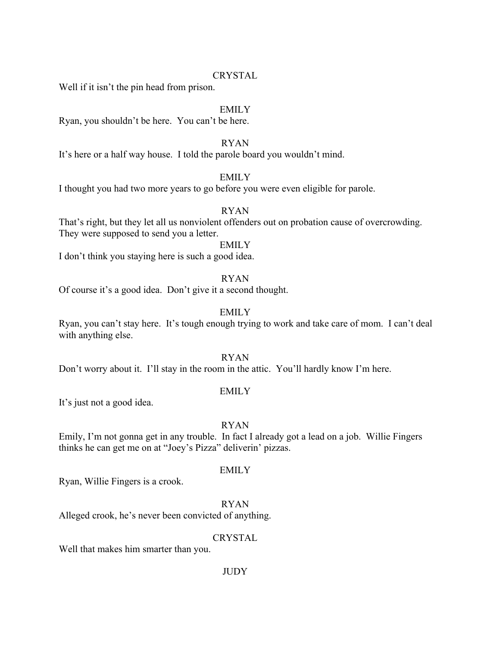# CRYSTAL

Well if it isn't the pin head from prison.

#### EMILY

Ryan, you shouldn't be here. You can't be here.

# RYAN

It's here or a half way house. I told the parole board you wouldn't mind.

# EMILY

I thought you had two more years to go before you were even eligible for parole.

# RYAN

That's right, but they let all us nonviolent offenders out on probation cause of overcrowding. They were supposed to send you a letter.

# EMILY

I don't think you staying here is such a good idea.

#### RYAN

Of course it's a good idea. Don't give it a second thought.

# EMILY

Ryan, you can't stay here. It's tough enough trying to work and take care of mom. I can't deal with anything else.

# RYAN

Don't worry about it. I'll stay in the room in the attic. You'll hardly know I'm here.

# EMILY

It's just not a good idea.

#### RYAN

Emily, I'm not gonna get in any trouble. In fact I already got a lead on a job. Willie Fingers thinks he can get me on at "Joey's Pizza" deliverin' pizzas.

#### EMILY

Ryan, Willie Fingers is a crook.

RYAN

Alleged crook, he's never been convicted of anything.

### **CRYSTAL**

Well that makes him smarter than you.

# **JUDY**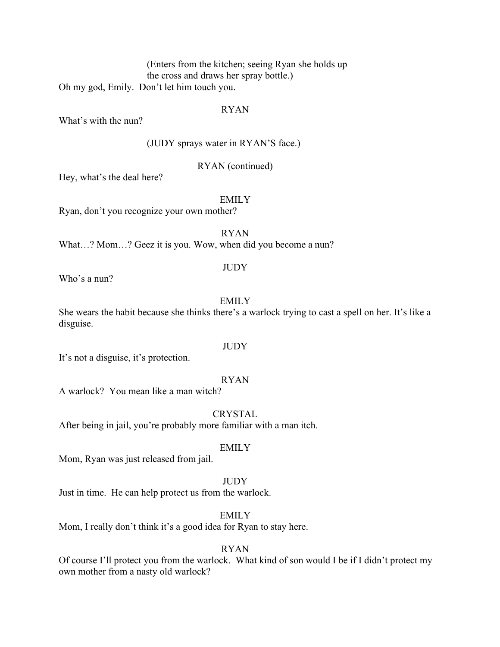(Enters from the kitchen; seeing Ryan she holds up the cross and draws her spray bottle.) Oh my god, Emily. Don't let him touch you.

# RYAN

What's with the nun?

(JUDY sprays water in RYAN'S face.)

# RYAN (continued)

Hey, what's the deal here?

EMILY

Ryan, don't you recognize your own mother?

RYAN

What...? Mom...? Geez it is you. Wow, when did you become a nun?

#### JUDY

Who's a nun?

# **EMILY**

She wears the habit because she thinks there's a warlock trying to cast a spell on her. It's like a disguise.

It's not a disguise, it's protection.

# RYAN

A warlock? You mean like a man witch?

**CRYSTAL** 

After being in jail, you're probably more familiar with a man itch.

# EMILY

Mom, Ryan was just released from jail.

# **JUDY**

Just in time. He can help protect us from the warlock.

# EMILY

Mom, I really don't think it's a good idea for Ryan to stay here.

# RYAN

Of course I'll protect you from the warlock. What kind of son would I be if I didn't protect my own mother from a nasty old warlock?

**JUDY**